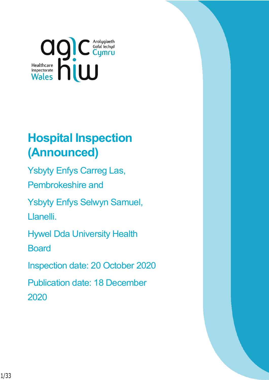

# **Hospital Inspection (Announced)**

Ysbyty Enfys Carreg Las, Pembrokeshire and

Ysbyty Enfys Selwyn Samuel,

Llanelli.

Hywel Dda University Health

**Board** 

Inspection date: 20 October 2020

Publication date: 18 December 2020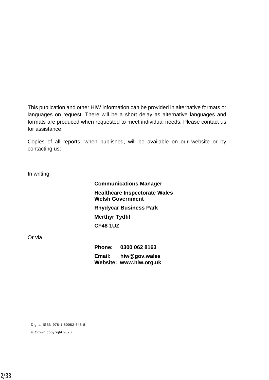This publication and other HIW information can be provided in alternative formats or languages on request. There will be a short delay as alternative languages and formats are produced when requested to meet individual needs. Please contact us for assistance.

Copies of all reports, when published, will be available on our website or by contacting us:

In writing:

**Communications Manager Healthcare Inspectorate Wales Welsh Government Rhydycar Business Park Merthyr Tydfil CF48 1UZ**

Or via

**Phone: 0300 062 8163 Email: [hiw@gov.wales](mailto:hiw@gov.wales) Website: [www.hiw.org.uk](http://www.hiw.org.uk/)**

Digital ISBN 978-1-80082-645-8

© Crown copyright 2020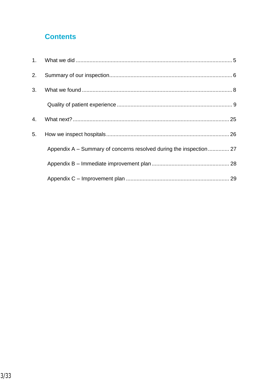### **Contents**

| 2.             |                                                                    |  |
|----------------|--------------------------------------------------------------------|--|
| 3 <sub>1</sub> |                                                                    |  |
|                |                                                                    |  |
| 4.             |                                                                    |  |
| 5.             |                                                                    |  |
|                | Appendix A – Summary of concerns resolved during the inspection 27 |  |
|                |                                                                    |  |
|                |                                                                    |  |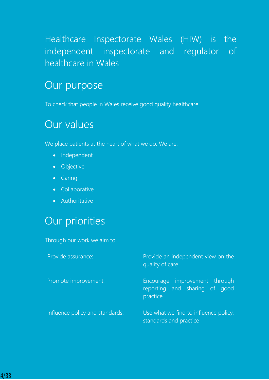## Healthcare Inspectorate Wales (HIW) is the independent inspectorate and regulator of healthcare in Wales

## Our purpose

To check that people in Wales receive good quality healthcare

## Our values

We place patients at the heart of what we do. We are:

- Independent
- **•** Objective
- Caring
- **•** Collaborative
- Authoritative

## Our priorities

Through our work we aim to:

| Provide assurance:              | Provide an independent view on the<br>quality of care                      |  |  |
|---------------------------------|----------------------------------------------------------------------------|--|--|
| Promote improvement:            | Encourage improvement through<br>reporting and sharing of good<br>practice |  |  |
| Influence policy and standards: | Use what we find to influence policy,<br>standards and practice            |  |  |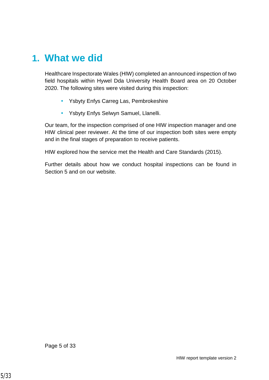## <span id="page-4-0"></span>**1. What we did**

Healthcare Inspectorate Wales (HIW) completed an announced inspection of two field hospitals within Hywel Dda University Health Board area on 20 October 2020. The following sites were visited during this inspection:

- Ysbyty Enfys Carreg Las, Pembrokeshire
- Ysbyty Enfys Selwyn Samuel, Llanelli.

Our team, for the inspection comprised of one HIW inspection manager and one HIW clinical peer reviewer. At the time of our inspection both sites were empty and in the final stages of preparation to receive patients.

HIW explored how the service met the Health and Care Standards (2015).

Further details about how we conduct hospital inspections can be found in Section 5 and on our website.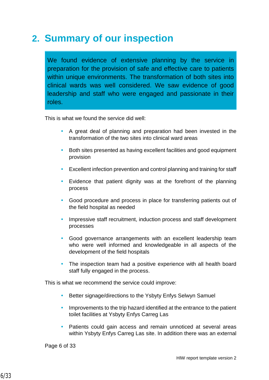## <span id="page-5-0"></span>**2. Summary of our inspection**

We found evidence of extensive planning by the service in preparation for the provision of safe and effective care to patients within unique environments. The transformation of both sites into clinical wards was well considered. We saw evidence of good leadership and staff who were engaged and passionate in their roles.

This is what we found the service did well:

- A great deal of planning and preparation had been invested in the transformation of the two sites into clinical ward areas
- Both sites presented as having excellent facilities and good equipment provision
- Excellent infection prevention and control planning and training for staff
- Evidence that patient dignity was at the forefront of the planning process
- Good procedure and process in place for transferring patients out of the field hospital as needed
- Impressive staff recruitment, induction process and staff development processes
- Good governance arrangements with an excellent leadership team who were well informed and knowledgeable in all aspects of the development of the field hospitals
- The inspection team had a positive experience with all health board staff fully engaged in the process.

This is what we recommend the service could improve:

- Better signage/directions to the Ysbyty Enfys Selwyn Samuel
- Improvements to the trip hazard identified at the entrance to the patient toilet facilities at Ysbyty Enfys Carreg Las
- Patients could gain access and remain unnoticed at several areas within Ysbyty Enfys Carreg Las site. In addition there was an external

Page 6 of 33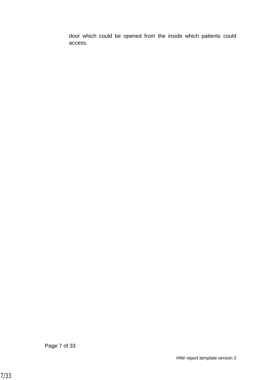door which could be opened from the inside which patients could access.

Page 7 of 33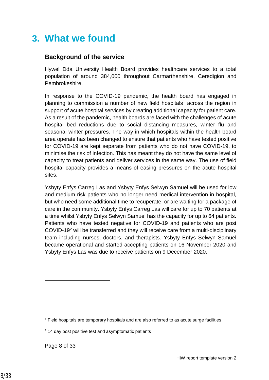### <span id="page-7-0"></span>**3. What we found**

#### **Background of the service**

Hywel Dda University Health Board provides healthcare services to a total population of around 384,000 throughout Carmarthenshire, Ceredigion and Pembrokeshire.

In response to the COVID-19 pandemic, the health board has engaged in planning to commission a number of new field hospitals<sup>1</sup> across the region in support of acute hospital services by creating additional capacity for patient care. As a result of the pandemic, health boards are faced with the challenges of acute hospital bed reductions due to social distancing measures, winter flu and seasonal winter pressures. The way in which hospitals within the health board area operate has been changed to ensure that patients who have tested positive for COVID-19 are kept separate from patients who do not have COVID-19, to minimise the risk of infection. This has meant they do not have the same level of capacity to treat patients and deliver services in the same way. The use of field hospital capacity provides a means of easing pressures on the acute hospital sites.

Ysbyty Enfys Carreg Las and Ysbyty Enfys Selwyn Samuel will be used for low and medium risk patients who no longer need medical intervention in hospital, but who need some additional time to recuperate, or are waiting for a package of care in the community. Ysbyty Enfys Carreg Las will care for up to 70 patients at a time whilst Ysbyty Enfys Selwyn Samuel has the capacity for up to 64 patients. Patients who have tested negative for COVID-19 and patients who are post COVID-19<sup>2</sup> will be transferred and they will receive care from a multi-disciplinary team including nurses, doctors, and therapists. Ysbyty Enfys Selwyn Samuel became operational and started accepting patients on 16 November 2020 and Ysbyty Enfys Las was due to receive patients on 9 December 2020.

Page 8 of 33

l

<sup>1</sup> Field hospitals are temporary hospitals and are also referred to as acute surge facilities

<sup>2</sup> 14 day post positive test and asymptomatic patients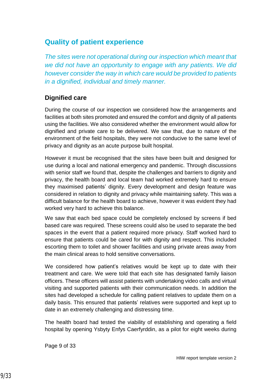### <span id="page-8-0"></span>**Quality of patient experience**

*The sites were not operational during our inspection which meant that we did not have an opportunity to engage with any patients. We did however consider the way in which care would be provided to patients in a dignified, individual and timely manner.*

### **Dignified care**

During the course of our inspection we considered how the arrangements and facilities at both sites promoted and ensured the comfort and dignity of all patients using the facilities. We also considered whether the environment would allow for dignified and private care to be delivered. We saw that, due to nature of the environment of the field hospitals, they were not conducive to the same level of privacy and dignity as an acute purpose built hospital.

However it must be recognised that the sites have been built and designed for use during a local and national emergency and pandemic. Through discussions with senior staff we found that, despite the challenges and barriers to dignity and privacy, the health board and local team had worked extremely hard to ensure they maximised patients' dignity. Every development and design feature was considered in relation to dignity and privacy while maintaining safety. This was a difficult balance for the health board to achieve, however it was evident they had worked very hard to achieve this balance.

We saw that each bed space could be completely enclosed by screens if bed based care was required. These screens could also be used to separate the bed spaces in the event that a patient required more privacy. Staff worked hard to ensure that patients could be cared for with dignity and respect. This included escorting them to toilet and shower facilities and using private areas away from the main clinical areas to hold sensitive conversations.

We considered how patient's relatives would be kept up to date with their treatment and care. We were told that each site has designated family liaison officers. These officers will assist patients with undertaking video calls and virtual visiting and supported patients with their communication needs. In addition the sites had developed a schedule for calling patient relatives to update them on a daily basis. This ensured that patients' relatives were supported and kept up to date in an extremely challenging and distressing time.

The health board had tested the viability of establishing and operating a field hospital by opening Ysbyty Enfys Caerfyrddin, as a pilot for eight weeks during

Page 9 of 33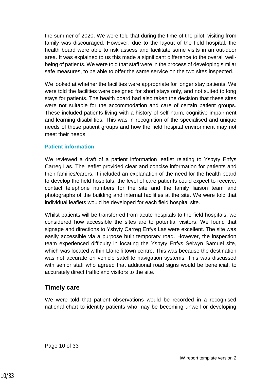the summer of 2020. We were told that during the time of the pilot, visiting from family was discouraged. However; due to the layout of the field hospital, the health board were able to risk assess and facilitate some visits in an out-door area. It was explained to us this made a significant difference to the overall wellbeing of patients. We were told that staff were in the process of developing similar safe measures, to be able to offer the same service on the two sites inspected.

We looked at whether the facilities were appropriate for longer stay patients. We were told the facilities were designed for short stays only, and not suited to long stays for patients. The health board had also taken the decision that these sites were not suitable for the accommodation and care of certain patient groups. These included patients living with a history of self-harm, cognitive impairment and learning disabilities. This was in recognition of the specialised and unique needs of these patient groups and how the field hospital environment may not meet their needs.

#### **Patient information**

We reviewed a draft of a patient information leaflet relating to Ysbyty Enfys Carreg Las. The leaflet provided clear and concise information for patients and their families/carers. It included an explanation of the need for the health board to develop the field hospitals, the level of care patients could expect to receive, contact telephone numbers for the site and the family liaison team and photographs of the building and internal facilities at the site. We were told that individual leaflets would be developed for each field hospital site.

Whilst patients will be transferred from acute hospitals to the field hospitals, we considered how accessible the sites are to potential visitors. We found that signage and directions to Ysbyty Carreg Enfys Las were excellent. The site was easily accessible via a purpose built temporary road. However, the inspection team experienced difficulty in locating the Ysbyty Enfys Selwyn Samuel site, which was located within Llanelli town centre. This was because the destination was not accurate on vehicle satellite navigation systems. This was discussed with senior staff who agreed that additional road signs would be beneficial, to accurately direct traffic and visitors to the site.

#### **Timely care**

We were told that patient observations would be recorded in a recognised national chart to identify patients who may be becoming unwell or developing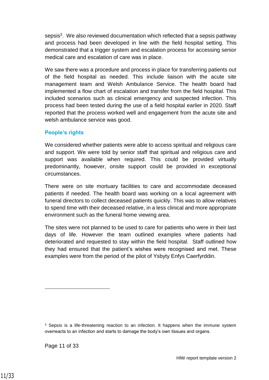sepsis<sup>3</sup>. We also reviewed documentation which reflected that a sepsis pathway and process had been developed in line with the field hospital setting. This demonstrated that a trigger system and escalation process for accessing senior medical care and escalation of care was in place.

We saw there was a procedure and process in place for transferring patients out of the field hospital as needed. This include liaison with the acute site management team and Welsh Ambulance Service. The health board had implemented a flow chart of escalation and transfer from the field hospital. This included scenarios such as clinical emergency and suspected infection. This process had been tested during the use of a field hospital earlier in 2020. Staff reported that the process worked well and engagement from the acute site and welsh ambulance service was good.

#### **People's rights**

We considered whether patients were able to access spiritual and religious care and support. We were told by senior staff that spiritual and religious care and support was available when required. This could be provided virtually predominantly, however, onsite support could be provided in exceptional circumstances.

There were on site mortuary facilities to care and accommodate deceased patients if needed. The health board was working on a local agreement with funeral directors to collect deceased patients quickly. This was to allow relatives to spend time with their deceased relative, in a less clinical and more appropriate environment such as the funeral home viewing area.

The sites were not planned to be used to care for patients who were in their last days of life. However the team outlined examples where patients had deteriorated and requested to stay within the field hospital. Staff outlined how they had ensured that the patient's wishes were recognised and met. These examples were from the period of the pilot of Ysbyty Enfys Caerfyrddin.

l

<sup>&</sup>lt;sup>3</sup> Sepsis is a life-threatening reaction to an infection. It happens when the immune system overreacts to an infection and starts to damage the body's own tissues and organs.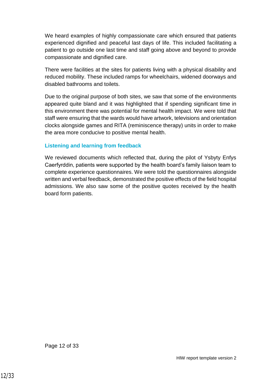We heard examples of highly compassionate care which ensured that patients experienced dignified and peaceful last days of life. This included facilitating a patient to go outside one last time and staff going above and beyond to provide compassionate and dignified care.

There were facilities at the sites for patients living with a physical disability and reduced mobility. These included ramps for wheelchairs, widened doorways and disabled bathrooms and toilets.

Due to the original purpose of both sites, we saw that some of the environments appeared quite bland and it was highlighted that if spending significant time in this environment there was potential for mental health impact. We were told that staff were ensuring that the wards would have artwork, televisions and orientation clocks alongside games and RITA (reminiscence therapy) units in order to make the area more conducive to positive mental health.

#### **Listening and learning from feedback**

We reviewed documents which reflected that, during the pilot of Ysbyty Enfys Caerfyrddin, patients were supported by the health board's family liaison team to complete experience questionnaires. We were told the questionnaires alongside written and verbal feedback, demonstrated the positive effects of the field hospital admissions. We also saw some of the positive quotes received by the health board form patients.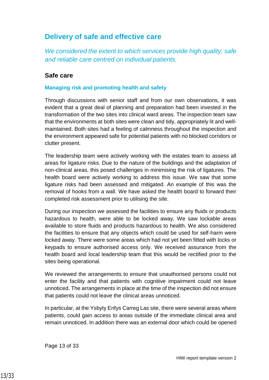### **Delivery of safe and effective care**

*We considered the extent to which services provide high quality, safe and reliable care centred on individual patients.*

#### **Safe care**

#### **Managing risk and promoting health and safety**

Through discussions with senior staff and from our own observations, it was evident that a great deal of planning and preparation had been invested in the transformation of the two sites into clinical ward areas. The inspection team saw that the environments at both sites were clean and tidy, appropriately lit and wellmaintained. Both sites had a feeling of calmness throughout the inspection and the environment appeared safe for potential patients with no blocked corridors or clutter present.

The leadership team were actively working with the estates team to assess all areas for ligature risks. Due to the nature of the buildings and the adaptation of non-clinical areas, this posed challenges in minimising the risk of ligatures. The health board were actively working to address this issue. We saw that some ligature risks had been assessed and mitigated. An example of this was the removal of hooks from a wall. We have asked the health board to forward their completed risk assessment prior to utilising the site.

During our inspection we assessed the facilities to ensure any fluids or products hazardous to health, were able to be locked away. We saw lockable areas available to store fluids and products hazardous to health. We also considered the facilities to ensure that any objects which could be used for self-harm were locked away. There were some areas which had not yet been fitted with locks or keypads to ensure authorised access only. We received assurance from the health board and local leadership team that this would be rectified prior to the sites being operational.

We reviewed the arrangements to ensure that unauthorised persons could not enter the facility and that patients with cognitive impairment could not leave unnoticed. The arrangements in place at the time of the inspection did not ensure that patients could not leave the clinical areas unnoticed.

In particular, at the Ysbyty Enfys Carreg Las site, there were several areas where patients, could gain access to areas outside of the immediate clinical area and remain unnoticed. In addition there was an external door which could be opened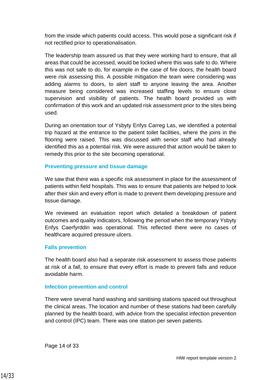from the inside which patients could access. This would pose a significant risk if not rectified prior to operationalisation.

The leadership team assured us that they were working hard to ensure, that all areas that could be accessed, would be locked where this was safe to do. Where this was not safe to do, for example in the case of fire doors, the health board were risk assessing this. A possible mitigation the team were considering was adding alarms to doors, to alert staff to anyone leaving the area. Another measure being considered was increased staffing levels to ensure close supervision and visibility of patients. The health board provided us with confirmation of this work and an updated risk assessment prior to the sites being used.

During an orientation tour of Ysbyty Enfys Carreg Las, we identified a potential trip hazard at the entrance to the patient toilet facilities, where the joins in the flooring were raised. This was discussed with senior staff who had already identified this as a potential risk. We were assured that action would be taken to remedy this prior to the site becoming operational.

#### **Preventing pressure and tissue damage**

We saw that there was a specific risk assessment in place for the assessment of patients within field hospitals. This was to ensure that patients are helped to look after their skin and every effort is made to prevent them developing pressure and tissue damage.

We reviewed an evaluation report which detailed a breakdown of patient outcomes and quality indicators, following the period when the temporary Ysbyty Enfys Caerfyrddin was operational. This reflected there were no cases of healthcare acquired pressure ulcers.

#### **Falls prevention**

The health board also had a separate risk assessment to assess those patients at risk of a fall, to ensure that every effort is made to prevent falls and reduce avoidable harm.

#### **Infection prevention and control**

There were several hand washing and sanitising stations spaced out throughout the clinical areas. The location and number of these stations had been carefully planned by the health board, with advice from the specialist infection prevention and control (IPC) team. There was one station per seven patients.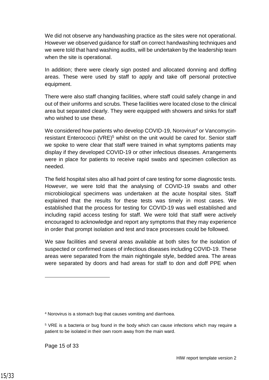We did not observe any handwashing practice as the sites were not operational. However we observed guidance for staff on correct handwashing techniques and we were told that hand washing audits, will be undertaken by the leadership team when the site is operational.

In addition; there were clearly sign posted and allocated donning and doffing areas. These were used by staff to apply and take off personal protective equipment.

There were also staff changing facilities, where staff could safely change in and out of their uniforms and scrubs. These facilities were located close to the clinical area but separated clearly. They were equipped with showers and sinks for staff who wished to use these.

We considered how patients who develop COVID-19, Norovirus<sup>4</sup> or Vancomycinresistant Enterococci (VRE)<sup>5</sup> whilst on the unit would be cared for. Senior staff we spoke to were clear that staff were trained in what symptoms patients may display if they developed COVID-19 or other infectious diseases. Arrangements were in place for patients to receive rapid swabs and specimen collection as needed.

The field hospital sites also all had point of care testing for some diagnostic tests. However, we were told that the analysing of COVID-19 swabs and other microbiological specimens was undertaken at the acute hospital sites. Staff explained that the results for these tests was timely in most cases. We established that the process for testing for COVID-19 was well established and including rapid access testing for staff. We were told that staff were actively encouraged to acknowledge and report any symptoms that they may experience in order that prompt isolation and test and trace processes could be followed.

We saw facilities and several areas available at both sites for the isolation of suspected or confirmed cases of infectious diseases including COVID-19. These areas were separated from the main nightingale style, bedded area. The areas were separated by doors and had areas for staff to don and doff PPE when

Page 15 of 33

 $\overline{a}$ 

<sup>4</sup> Norovirus is a stomach bug that causes vomiting and diarrhoea.

<sup>&</sup>lt;sup>5</sup> VRE is a bacteria or bug found in the body which can cause infections which may require a patient to be isolated in their own room away from the main ward.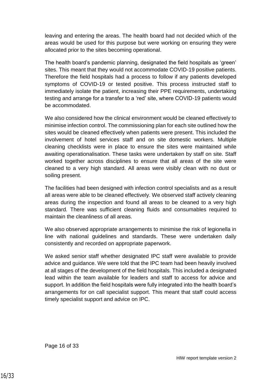leaving and entering the areas. The health board had not decided which of the areas would be used for this purpose but were working on ensuring they were allocated prior to the sites becoming operational.

The health board's pandemic planning, designated the field hospitals as 'green' sites. This meant that they would not accommodate COVID-19 positive patients. Therefore the field hospitals had a process to follow if any patients developed symptoms of COVID-19 or tested positive. This process instructed staff to immediately isolate the patient, increasing their PPE requirements, undertaking testing and arrange for a transfer to a 'red' site, where COVID-19 patients would be accommodated.

We also considered how the clinical environment would be cleaned effectively to minimise infection control. The commissioning plan for each site outlined how the sites would be cleaned effectively when patients were present. This included the involvement of hotel services staff and on site domestic workers. Multiple cleaning checklists were in place to ensure the sites were maintained while awaiting operationalisation. These tasks were undertaken by staff on site. Staff worked together across disciplines to ensure that all areas of the site were cleaned to a very high standard. All areas were visibly clean with no dust or soiling present.

The facilities had been designed with infection control specialists and as a result all areas were able to be cleaned effectively. We observed staff actively cleaning areas during the inspection and found all areas to be cleaned to a very high standard. There was sufficient cleaning fluids and consumables required to maintain the cleanliness of all areas.

We also observed appropriate arrangements to minimise the risk of legionella in line with national guidelines and standards. These were undertaken daily consistently and recorded on appropriate paperwork.

We asked senior staff whether designated IPC staff were available to provide advice and guidance. We were told that the IPC team had been heavily involved at all stages of the development of the field hospitals. This included a designated lead within the team available for leaders and staff to access for advice and support. In addition the field hospitals were fully integrated into the health board's arrangements for on call specialist support. This meant that staff could access timely specialist support and advice on IPC.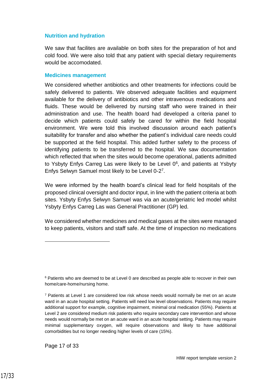#### **Nutrition and hydration**

We saw that facilites are available on both sites for the preparation of hot and cold food. We were also told that any patient with special dietary requirements would be accomodated.

#### **Medicines management**

We considered whether antibiotics and other treatments for infections could be safely delivered to patients. We observed adequate facilities and equipment available for the delivery of antibiotics and other intravenous medications and fluids. These would be delivered by nursing staff who were trained in their administration and use. The health board had developed a criteria panel to decide which patients could safely be cared for within the field hospital environment. We were told this involved discussion around each patient's suitability for transfer and also whether the patient's individual care needs could be supported at the field hospital. This added further safety to the process of identifying patients to be transferred to the hospital. We saw documentation which reflected that when the sites would become operational, patients admitted to Ysbyty Enfys Carreg Las were likely to be Level  $0<sup>6</sup>$ , and patients at Ysbyty Enfys Selwyn Samuel most likely to be Level 0-2<sup>7</sup>.

We were informed by the health board's clinical lead for field hospitals of the proposed clinical oversight and doctor input, in line with the patient criteria at both sites. Ysbyty Enfys Selwyn Samuel was via an acute/geriatric led model whilst Ysbyty Enfys Carreg Las was General Practitioner (GP) led.

We considered whether medicines and medical gases at the sites were managed to keep patients, visitors and staff safe. At the time of inspection no medications

Page 17 of 33

 $\overline{a}$ 

<sup>&</sup>lt;sup>6</sup> Patients who are deemed to be at Level 0 are described as people able to recover in their own home/care-home/nursing home.

<sup>7</sup> Patients at Level 1 are considered low risk whose needs would normally be met on an acute ward in an acute hospital setting. Patients will need low level observations. Patients may require additional support for example, cognitive impairment, minimal oral medication (55%). Patients at Level 2 are considered medium risk patients who require secondary care intervention and whose needs would normally be met on an acute ward in an acute hospital setting. Patients may require minimal supplementary oxygen, will require observations and likely to have additional comorbidities but no longer needing higher levels of care (15%).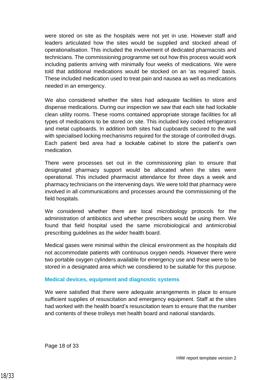were stored on site as the hospitals were not yet in use. However staff and leaders articulated how the sites would be supplied and stocked ahead of operationalisation. This included the involvement of dedicated pharmacists and technicians. The commissioning programme set out how this process would work including patients arriving with minimally four weeks of medications. We were told that additional medications would be stocked on an 'as required' basis. These included medication used to treat pain and nausea as well as medications needed in an emergency.

We also considered whether the sites had adequate facilities to store and dispense medications. During our inspection we saw that each site had lockable clean utility rooms. These rooms contained appropriate storage facilities for all types of medications to be stored on site. This included key coded refrigerators and metal cupboards. In addition both sites had cupboards secured to the wall with specialised locking mechanisms required for the storage of controlled drugs. Each patient bed area had a lockable cabinet to store the patient's own medication.

There were processes set out in the commissioning plan to ensure that designated pharmacy support would be allocated when the sites were operational. This included pharmacist attendance for three days a week and pharmacy technicians on the intervening days. We were told that pharmacy were involved in all communications and processes around the commissioning of the field hospitals.

We considered whether there are local microbiology protocols for the administration of antibiotics and whether prescribers would be using them. We found that field hospital used the same microbiological and antimicrobial prescribing guidelines as the wider health board.

Medical gases were minimal within the clinical environment as the hospitals did not accommodate patients with continuous oxygen needs. However there were two portable oxygen cylinders available for emergency use and these were to be stored in a designated area which we consdiered to be suitable for this purpose.

#### **Medical devices, equipment and diagnostic systems**

We were satisfied that there were adequate arrangements in place to ensure sufficient supplies of resuscitation and emergency equipment. Staff at the sites had worked with the health board's resuscitation team to ensure that the number and contents of these trolleys met health board and national standards.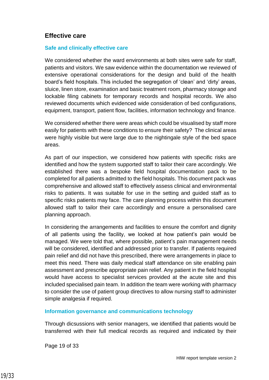#### **Effective care**

#### **Safe and clinically effective care**

We considered whether the ward environments at both sites were safe for staff, patients and visitors. We saw evidence within the documentation we reviewed of extensive operational considerations for the design and build of the health board's field hospitals. This included the segregation of 'clean' and 'dirty' areas, sluice, linen store, examination and basic treatment room, pharmacy storage and lockable filing cabinets for temporary records and hospital records. We also reviewed documents which evidenced wide consideration of bed configurations, equipment, transport, patient flow, facilities, information technology and finance.

We considered whether there were areas which could be visualised by staff more easily for patients with these conditions to ensure their safety? The clinical areas were highly visible but were large due to the nightingale style of the bed space areas.

As part of our inspection, we considered how patients with specific risks are identified and how the system supported staff to tailor their care accordingly. We established there was a bespoke field hospital documentation pack to be completed for all patients admitted to the field hospitals. This document pack was comprehensive and allowed staff to effectively assess clinical and environmental risks to patients. It was suitable for use in the setting and guided staff as to specific risks patients may face. The care planning process within this document allowed staff to tailor their care accordingly and ensure a personalised care planning approach.

In considering the arrangements and facilities to ensure the comfort and dignity of all patients using the facility, we looked at how patient's pain would be managed. We were told that, where possible, patient's pain management needs will be considered, identified and addressed prior to transfer. If patients required pain relief and did not have this prescribed, there were arrangements in place to meet this need. There was daily medical staff attendance on site enabling pain assessment and prescribe appropriate pain relief. Any patient in the field hospital would have access to specialist services provided at the acute site and this included specialised pain team. In addition the team were working with pharmacy to consider the use of patient group directives to allow nursing staff to administer simple analgesia if required.

#### **Information governance and communications technology**

Through dicsussions with senior managers, we identified that patients would be transferred with their full medical records as required and indicated by their

Page 19 of 33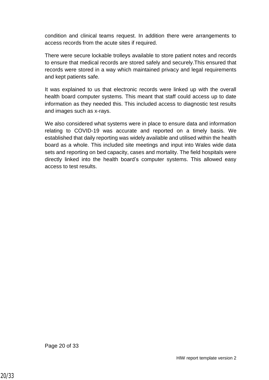condition and clinical teams request. In addition there were arrangements to access records from the acute sites if required.

There were secure lockable trolleys available to store patient notes and records to ensure that medical records are stored safely and securely.This ensured that records were stored in a way which maintained privacy and legal requirements and kept patients safe.

It was explained to us that electronic records were linked up with the overall health board computer systems. This meant that staff could access up to date information as they needed this. This included access to diagnostic test results and images such as x-rays.

We also considered what systems were in place to ensure data and information relating to COVID-19 was accurate and reported on a timely basis. We established that daily reporting was widely available and utilised within the health board as a whole. This included site meetings and input into Wales wide data sets and reporting on bed capacity, cases and mortality. The field hospitals were directly linked into the health board's computer systems. This allowed easy access to test results.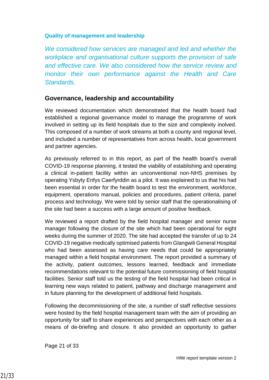#### **Quality of management and leadership**

*We considered how services are managed and led and whether the workplace and organisational culture supports the provision of safe and effective care. We also considered how the service review and monitor their own performance against the Health and Care Standards.*

#### **Governance, leadership and accountability**

We reviewed documentation which demonstrated that the health board had established a regional governance model to manage the programme of work involved in setting up its field hospitals due to the size and complexity inolved. This composed of a number of work streams at both a county and regional level, and included a number of representatives from across health, local government and partner agencies.

As previously referred to in this report, as part of the health board's overall COVID-19 response planning, it tested the viability of establishing and operating a clinical in-patient facility within an unconventional non-NHS premises by operating Ysbyty Enfys Caerfyrddin as a pilot. It was explained to us that his had been essential in order for the health board to test the environment, workforce, equipment, operations manual, policies and procedures, patient criteria, panel process and technology. We were told by senior staff that the operationalising of the site had been a success with a large amount of positive feedback.

We reviewed a report drafted by the field hospital manager and senior nurse manager following the closure of the site which had been operational for eight weeks during the summer of 2020. The site had accepted the transfer of up to 24 COVID-19 negative medically optimised patients from Glangwili General Hospital who had been assessed as having care needs that could be appropriately managed within a field hospital environment. The report provided a summary of the activity, patient outcomes, lessons learned, feedback and immediate recommendations relevant to the potential future commissioning of field hospital facilities. Senior staff told us the testing of the field hospital had been critical in learning new ways related to patient, pathway and discharge management and in future planning for the development of additional field hospitals.

Following the decommissioning of the site, a number of staff reflective sessions were hosted by the field hospital management team with the aim of providing an opportunity for staff to share experiences and perspectives with each other as a means of de-briefing and closure. It also provided an opportunity to gather

Page 21 of 33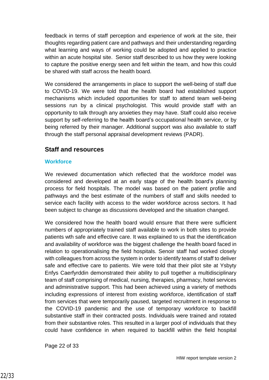feedback in terms of staff perception and experience of work at the site, their thoughts regarding patient care and pathways and their understanding regarding what learning and ways of working could be adopted and applied to practice within an acute hospital site. Senior staff described to us how they were looking to capture the positive energy seen and felt within the team, and how this could be shared with staff across the health board.

We considered the arrangements in place to support the well-being of staff due to COVID-19. We were told that the health board had established support mechanisms which included opportunities for staff to attend team well-being sessions run by a clinical psychologist. This would provide staff with an opportunity to talk through any anxieties they may have. Staff could also receive support by self-referring to the health board's occupational health service, or by being referred by their manager. Additional support was also available to staff through the staff personal appraisal development reviews (PADR).

#### **Staff and resources**

#### **Workforce**

We reviewed documentation which reflected that the workforce model was considered and developed at an early stage of the health board's planning process for field hospitals. The model was based on the patient profile and pathways and the best estimate of the numbers of staff and skills needed to service each facility with access to the wider workforce across sectors. It had been subject to change as discussions developed and the situation changed.

We considered how the health board would ensure that there were sufficient numbers of appropriately trained staff available to work in both sites to provide patients wth safe and effective care. It was explained to us that the identification and availability of workforce was the biggest challenge the health board faced in relation to operationalising the field hospitals. Senoir staff had worked closely with colleagues from across the system in order to identify teams of staff to deliver safe and effective care to patients. We were told that their pilot site at Ysbyty Enfys Caerfyrddin demonstrated their ability to pull together a multidisciplinary team of staff comprising of medical, nursing, therapies, pharmacy, hotel services and administrative support. This had been achieved using a variety of methods including expressions of interest from existing workforce, identification of staff from services that were temporarily paused, targeted recruitment in response to the COVID-19 pandemic and the use of temporary workforce to backfill substantive staff in their contracted posts. Individuals were trained and rotated from their substantive roles. This resulted in a larger pool of individuals that they could have confidence in when required to backfill within the field hospital

Page 22 of 33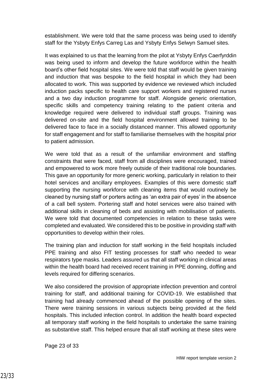establishment. We were told that the same process was being used to identify staff for the Ysbyty Enfys Carreg Las and Ysbyty Enfys Selwyn Samuel sites.

It was explained to us that the learning from the pilot at Ysbyty Enfys Caerfyrddin was being used to inform and develop the future workforce within the health board's other field hospital sites. We were told that staff would be given training and induction that was bespoke to the field hospital in which they had been allocated to work. This was supported by evidence we reviewed which included induction packs specific to health care support workers and registered nurses and a two day induction programme for staff. Alongside generic orientation, specific skills and competency training relating to the patient criteria and knowledge required were delivered to individual staff groups. Training was delivered on-site and the field hospital environment allowed training to be delivered face to face in a socially distanced manner. This allowed opportunity for staff engagement and for staff to familiarise themselves with the hospital prior to patient admission.

We were told that as a result of the unfamiliar environment and staffing constraints that were faced, staff from all disciplines were encouraged, trained and empowered to work more freely outside of their traditional role boundaries. This gave an opportunity for more generic working, particularly in relation to their hotel services and ancillary employees. Examples of this were domestic staff supporting the nursing workforce with cleaning items that would routinely be cleaned by nursing staff or porters acting as 'an extra pair of eyes' in the absence of a call bell system. Portering staff and hotel services were also trained with additional skills in cleaning of beds and assisting with mobilisation of patients. We were told that documented competencies in relation to these tasks were completed and evaluated. We considered this to be positive in providing staff with opportunities to develop within their roles.

The training plan and induction for staff working in the field hospitals included PPE training and also FIT testing processes for staff who needed to wear respirators type masks. Leaders assured us that all staff working in clinical areas within the health board had received recent training in PPE donning, doffing and levels required for differing scenarios.

We also considered the provision of appropriate infection prevention and control training for staff, and additional training for COVID-19. We established that training had already commenced ahead of the possible opening of the sites. There were training sessions in various subjects being provided at the field hospitals. This included infection control. In addition the health board expected all temporary staff working in the field hospitals to undertake the same training as substantive staff. This helped ensure that all staff working at these sites were

Page 23 of 33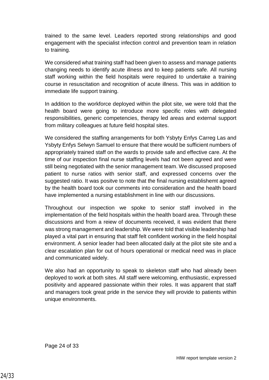trained to the same level. Leaders reported strong relationships and good engagement with the specialist infection control and prevention team in relation to training.

We considered what training staff had been given to assess and manage patients changing needs to identify acute illness and to keep patients safe. All nursing staff working within the field hospitals were required to undertake a training course in resuscitation and recognition of acute illness. This was in addition to immediate life support training.

In addition to the workforce deployed within the pilot site, we were told that the health board were going to introduce more specific roles with delegated responsibilities, generic competencies, therapy led areas and external support from military colleagues at future field hospital sites.

We considered the staffing arrangements for both Ysbyty Enfys Carreg Las and Ysbyty Enfys Selwyn Samuel to ensure that there would be sufficient numbers of appropriately trained staff on the wards to provide safe and effective care. At the time of our inspection final nurse staffing levels had not been agreed and were still being negotiated with the senior management team. We discussed proposed patient to nurse ratios with senior staff, and expressed concerns over the suggested ratio. It was positve to note that the final nursing establishemt agreed by the health board took our comments into consideration and the health board have implemented a nursing establishment in line with our discussions.

Throughout our inspection we spoke to senior staff involved in the implementation of the field hospitals within the health board area. Through these discussions and from a reiew of documents received, it was evident that there was strong management and leadership. We were told that visible leadership had played a vital part in ensuring that staff felt confident working in the field hospital environment. A senior leader had been allocated daily at the pilot site site and a clear escalation plan for out of hours operational or medical need was in place and communicated widely.

We also had an opportunity to speak to skeleton staff who had already been deployed to work at both sites. All staff were welcoming, enthusiastic, expressed positivity and appeared passionate within their roles. It was apparent that staff and managers took great pride in the service they will provide to patients within unique environments.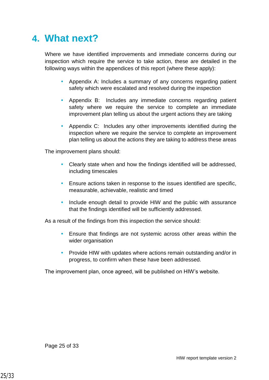### <span id="page-24-0"></span>**4. What next?**

Where we have identified improvements and immediate concerns during our inspection which require the service to take action, these are detailed in the following ways within the appendices of this report (where these apply):

- Appendix A: Includes a summary of any concerns regarding patient safety which were escalated and resolved during the inspection
- Appendix B: Includes any immediate concerns regarding patient safety where we require the service to complete an immediate improvement plan telling us about the urgent actions they are taking
- Appendix C: Includes any other improvements identified during the inspection where we require the service to complete an improvement plan telling us about the actions they are taking to address these areas

The improvement plans should:

- Clearly state when and how the findings identified will be addressed, including timescales
- Ensure actions taken in response to the issues identified are specific, measurable, achievable, realistic and timed
- Include enough detail to provide HIW and the public with assurance that the findings identified will be sufficiently addressed.

As a result of the findings from this inspection the service should:

- Ensure that findings are not systemic across other areas within the wider organisation
- Provide HIW with updates where actions remain outstanding and/or in progress, to confirm when these have been addressed.

The improvement plan, once agreed, will be published on HIW's website.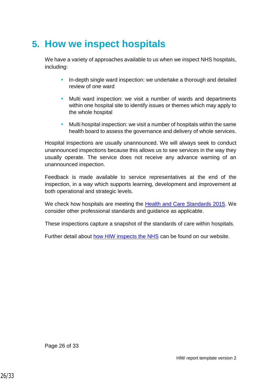## <span id="page-25-0"></span>**5. How we inspect hospitals**

We have a variety of approaches available to us when we inspect NHS hospitals, including:

- In-depth single ward inspection: we undertake a thorough and detailed review of one ward
- Multi ward inspection: we visit a number of wards and departments within one hospital site to identify issues or themes which may apply to the whole hospital
- Multi hospital inspection: we visit a number of hospitals within the same health board to assess the governance and delivery of whole services.

Hospital inspections are usually unannounced. We will always seek to conduct unannounced inspections because this allows us to see services in the way they usually operate. The service does not receive any advance warning of an unannounced inspection.

Feedback is made available to service representatives at the end of the inspection, in a way which supports learning, development and improvement at both operational and strategic levels.

We check how hospitals are meeting the [Health and Care Standards 2015.](https://gov.wales/sites/default/files/publications/2019-05/health-and-care-standards-april-2015.pdf) We consider other professional standards and guidance as applicable.

These inspections capture a snapshot of the standards of care within hospitals.

Further detail about [how HIW inspects the NHS](https://hiw.org.uk/sites/default/files/2019-05/170328inspectnhsen_0.pdf) can be found on our website.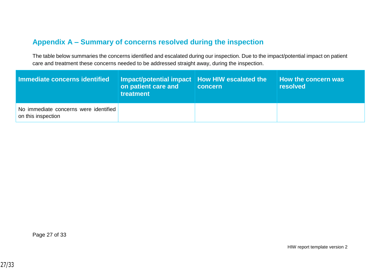### **Appendix A – Summary of concerns resolved during the inspection**

The table below summaries the concerns identified and escalated during our inspection. Due to the impact/potential impact on patient care and treatment these concerns needed to be addressed straight away, during the inspection.

<span id="page-26-0"></span>

| Immediate concerns identified                               | │ Impact/potential impact │ How HIW escalated the ↓<br>on patient care and<br>treatment | concern | How the concern was<br><b>resolved</b> |
|-------------------------------------------------------------|-----------------------------------------------------------------------------------------|---------|----------------------------------------|
| No immediate concerns were identified<br>on this inspection |                                                                                         |         |                                        |

Page 27 of 33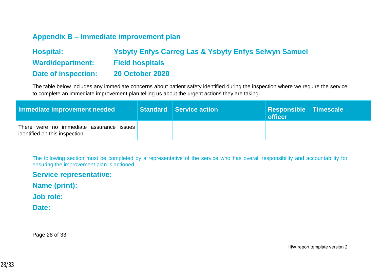### **Appendix B – Immediate improvement plan**

| <b>Hospital:</b>        | <b>Ysbyty Enfys Carreg Las &amp; Ysbyty Enfys Selwyn Samuel</b> |
|-------------------------|-----------------------------------------------------------------|
| <b>Ward/department:</b> | <b>Field hospitals</b>                                          |
| Date of inspection:     | <b>20 October 2020</b>                                          |

The table below includes any immediate concerns about patient safety identified during the inspection where we require the service to complete an immediate improvement plan telling us about the urgent actions they are taking.

| Immediate improvement needed                                               | Standard Service action | <b>Responsible Timescale</b><br><b>officer</b> |  |
|----------------------------------------------------------------------------|-------------------------|------------------------------------------------|--|
| There were no immediate assurance issues<br>identified on this inspection. |                         |                                                |  |

<span id="page-27-0"></span>The following section must be completed by a representative of the service who has overall responsibility and accountability for ensuring the improvement plan is actioned.

**Service representative:** 

**Name (print):** 

**Job role:** 

**Date:** 

Page 28 of 33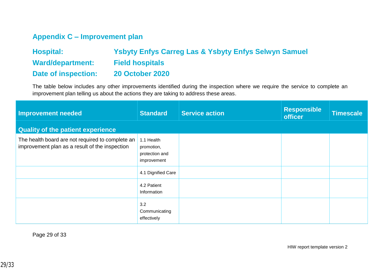### **Appendix C – Improvement plan**

| <b>Hospital:</b>    | <b>Ysbyty Enfys Carreg Las &amp; Ysbyty Enfys Selwyn Samuel</b> |
|---------------------|-----------------------------------------------------------------|
| Ward/department:    | <b>Field hospitals</b>                                          |
| Date of inspection: | <b>20 October 2020</b>                                          |

The table below includes any other improvements identified during the inspection where we require the service to complete an improvement plan telling us about the actions they are taking to address these areas.

<span id="page-28-0"></span>

| Improvement needed                                                                                 | <b>Standard</b>                                           | <b>Service action</b> | <b>Responsible</b><br><b>officer</b> | Timescale |
|----------------------------------------------------------------------------------------------------|-----------------------------------------------------------|-----------------------|--------------------------------------|-----------|
| <b>Quality of the patient experience</b>                                                           |                                                           |                       |                                      |           |
| The health board are not required to complete an<br>improvement plan as a result of the inspection | 1.1 Health<br>promotion,<br>protection and<br>improvement |                       |                                      |           |
|                                                                                                    | 4.1 Dignified Care                                        |                       |                                      |           |
|                                                                                                    | 4.2 Patient<br>Information                                |                       |                                      |           |
|                                                                                                    | 3.2<br>Communicating<br>effectively                       |                       |                                      |           |

Page 29 of 33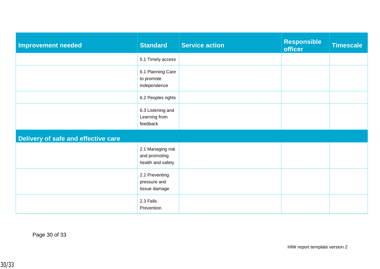| <b>Improvement needed</b>           | <b>Standard</b>                                         | <b>Service action</b> | <b>Responsible</b><br><b>officer</b> | <b>Timescale</b> |  |
|-------------------------------------|---------------------------------------------------------|-----------------------|--------------------------------------|------------------|--|
|                                     | 5.1 Timely access                                       |                       |                                      |                  |  |
|                                     | 6.1 Planning Care<br>to promote<br>independence         |                       |                                      |                  |  |
|                                     | 6.2 Peoples rights                                      |                       |                                      |                  |  |
|                                     | 6.3 Listening and<br>Learning from<br>feedback          |                       |                                      |                  |  |
| Delivery of safe and effective care |                                                         |                       |                                      |                  |  |
|                                     | 2.1 Managing risk<br>and promoting<br>health and safety |                       |                                      |                  |  |
|                                     | 2.2 Preventing<br>pressure and<br>tissue damage         |                       |                                      |                  |  |
|                                     | 2.3 Falls<br>Prevention                                 |                       |                                      |                  |  |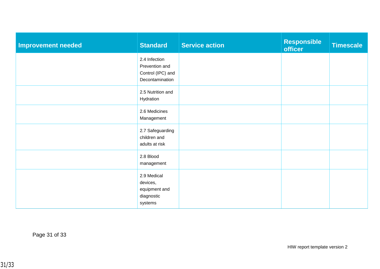| <b>Improvement needed</b> | <b>Standard</b>                                                         | <b>Service action</b> | <b>Responsible</b><br>officer | <b>Timescale</b> |
|---------------------------|-------------------------------------------------------------------------|-----------------------|-------------------------------|------------------|
|                           | 2.4 Infection<br>Prevention and<br>Control (IPC) and<br>Decontamination |                       |                               |                  |
|                           | 2.5 Nutrition and<br>Hydration                                          |                       |                               |                  |
|                           | 2.6 Medicines<br>Management                                             |                       |                               |                  |
|                           | 2.7 Safeguarding<br>children and<br>adults at risk                      |                       |                               |                  |
|                           | 2.8 Blood<br>management                                                 |                       |                               |                  |
|                           | 2.9 Medical<br>devices,<br>equipment and<br>diagnostic<br>systems       |                       |                               |                  |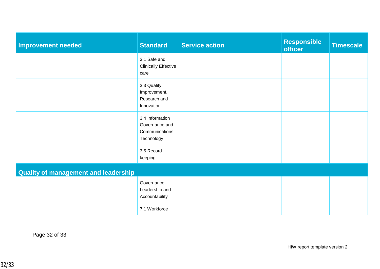| <b>Improvement needed</b>                   | <b>Standard</b>                                                   | <b>Service action</b> | <b>Responsible</b><br>officer | <b>Timescale</b> |  |
|---------------------------------------------|-------------------------------------------------------------------|-----------------------|-------------------------------|------------------|--|
|                                             | 3.1 Safe and<br><b>Clinically Effective</b><br>care               |                       |                               |                  |  |
|                                             | 3.3 Quality<br>Improvement,<br>Research and<br>Innovation         |                       |                               |                  |  |
|                                             | 3.4 Information<br>Governance and<br>Communications<br>Technology |                       |                               |                  |  |
|                                             | 3.5 Record<br>keeping                                             |                       |                               |                  |  |
| <b>Quality of management and leadership</b> |                                                                   |                       |                               |                  |  |
|                                             | Governance,<br>Leadership and<br>Accountability                   |                       |                               |                  |  |
|                                             | 7.1 Workforce                                                     |                       |                               |                  |  |

Page 32 of 33